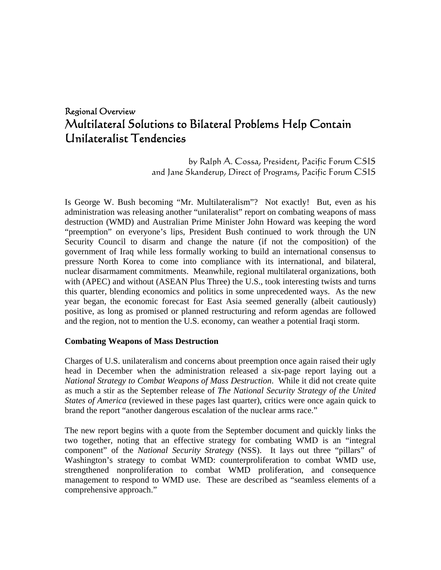# Regional Overview Multilateral Solutions to Bilateral Problems Help Contain Unilateralist Tendencies

by Ralph A. Cossa, President, Pacific Forum CSIS and Jane Skanderup, Direct of Programs, Pacific Forum CSIS

Is George W. Bush becoming "Mr. Multilateralism"? Not exactly! But, even as his administration was releasing another "unilateralist" report on combating weapons of mass destruction (WMD) and Australian Prime Minister John Howard was keeping the word "preemption" on everyone's lips, President Bush continued to work through the UN Security Council to disarm and change the nature (if not the composition) of the government of Iraq while less formally working to build an international consensus to pressure North Korea to come into compliance with its international, and bilateral, nuclear disarmament commitments. Meanwhile, regional multilateral organizations, both with (APEC) and without (ASEAN Plus Three) the U.S., took interesting twists and turns this quarter, blending economics and politics in some unprecedented ways. As the new year began, the economic forecast for East Asia seemed generally (albeit cautiously) positive, as long as promised or planned restructuring and reform agendas are followed and the region, not to mention the U.S. economy, can weather a potential Iraqi storm.

#### **Combating Weapons of Mass Destruction**

Charges of U.S. unilateralism and concerns about preemption once again raised their ugly head in December when the administration released a six-page report laying out a *National Strategy to Combat Weapons of Mass Destruction*. While it did not create quite as much a stir as the September release of *The National Security Strategy of the United States of America* (reviewed in these pages last quarter), critics were once again quick to brand the report "another dangerous escalation of the nuclear arms race."

The new report begins with a quote from the September document and quickly links the two together, noting that an effective strategy for combating WMD is an "integral component" of the *National Security Strategy* (NSS). It lays out three "pillars" of Washington's strategy to combat WMD: counterproliferation to combat WMD use, strengthened nonproliferation to combat WMD proliferation, and consequence management to respond to WMD use. These are described as "seamless elements of a comprehensive approach."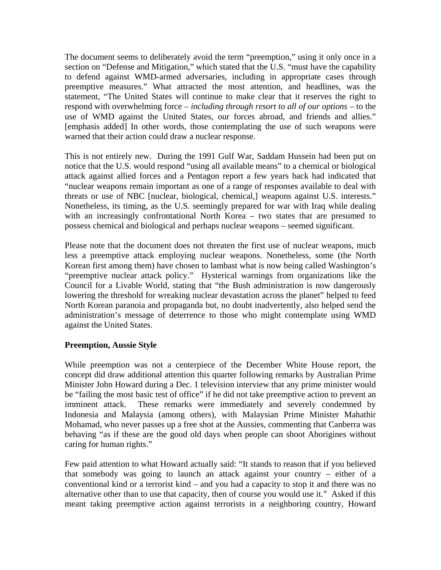The document seems to deliberately avoid the term "preemption," using it only once in a section on "Defense and Mitigation," which stated that the U.S. "must have the capability to defend against WMD-armed adversaries, including in appropriate cases through preemptive measures." What attracted the most attention, and headlines, was the statement, "The United States will continue to make clear that it reserves the right to respond with overwhelming force – *including through resort to all of our options –* to the use of WMD against the United States, our forces abroad, and friends and allies." [emphasis added] In other words, those contemplating the use of such weapons were warned that their action could draw a nuclear response.

This is not entirely new. During the 1991 Gulf War, Saddam Hussein had been put on notice that the U.S. would respond "using all available means" to a chemical or biological attack against allied forces and a Pentagon report a few years back had indicated that "nuclear weapons remain important as one of a range of responses available to deal with threats or use of NBC [nuclear, biological, chemical,] weapons against U.S. interests." Nonetheless, its timing, as the U.S. seemingly prepared for war with Iraq while dealing with an increasingly confrontational North Korea – two states that are presumed to possess chemical and biological and perhaps nuclear weapons – seemed significant.

Please note that the document does not threaten the first use of nuclear weapons, much less a preemptive attack employing nuclear weapons. Nonetheless, some (the North Korean first among them) have chosen to lambast what is now being called Washington's "preemptive nuclear attack policy." Hysterical warnings from organizations like the Council for a Livable World, stating that "the Bush administration is now dangerously lowering the threshold for wreaking nuclear devastation across the planet" helped to feed North Korean paranoia and propaganda but, no doubt inadvertently, also helped send the administration's message of deterrence to those who might contemplate using WMD against the United States.

#### **Preemption, Aussie Style**

While preemption was not a centerpiece of the December White House report, the concept did draw additional attention this quarter following remarks by Australian Prime Minister John Howard during a Dec. 1 television interview that any prime minister would be "failing the most basic test of office" if he did not take preemptive action to prevent an imminent attack. These remarks were immediately and severely condemned by Indonesia and Malaysia (among others), with Malaysian Prime Minister Mahathir Mohamad, who never passes up a free shot at the Aussies, commenting that Canberra was behaving "as if these are the good old days when people can shoot Aborigines without caring for human rights."

Few paid attention to what Howard actually said: "It stands to reason that if you believed that somebody was going to launch an attack against your country – either of a conventional kind or a terrorist kind – and you had a capacity to stop it and there was no alternative other than to use that capacity, then of course you would use it." Asked if this meant taking preemptive action against terrorists in a neighboring country, Howard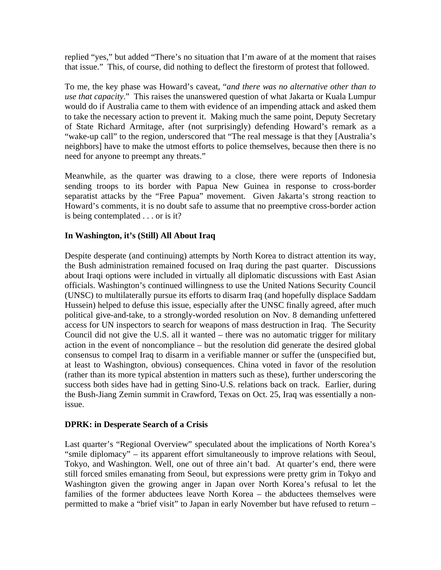replied "yes," but added "There's no situation that I'm aware of at the moment that raises that issue." This, of course, did nothing to deflect the firestorm of protest that followed.

To me, the key phase was Howard's caveat, "*and there was no alternative other than to use that capacity*." This raises the unanswered question of what Jakarta or Kuala Lumpur would do if Australia came to them with evidence of an impending attack and asked them to take the necessary action to prevent it. Making much the same point, Deputy Secretary of State Richard Armitage, after (not surprisingly) defending Howard's remark as a "wake-up call" to the region, underscored that "The real message is that they [Australia's neighbors] have to make the utmost efforts to police themselves, because then there is no need for anyone to preempt any threats."

Meanwhile, as the quarter was drawing to a close, there were reports of Indonesia sending troops to its border with Papua New Guinea in response to cross-border separatist attacks by the "Free Papua" movement. Given Jakarta's strong reaction to Howard's comments, it is no doubt safe to assume that no preemptive cross-border action is being contemplated . . . or is it?

### **In Washington, it's (Still) All About Iraq**

Despite desperate (and continuing) attempts by North Korea to distract attention its way, the Bush administration remained focused on Iraq during the past quarter. Discussions about Iraqi options were included in virtually all diplomatic discussions with East Asian officials. Washington's continued willingness to use the United Nations Security Council (UNSC) to multilaterally pursue its efforts to disarm Iraq (and hopefully displace Saddam Hussein) helped to defuse this issue, especially after the UNSC finally agreed, after much political give-and-take, to a strongly-worded resolution on Nov. 8 demanding unfettered access for UN inspectors to search for weapons of mass destruction in Iraq. The Security Council did not give the U.S. all it wanted – there was no automatic trigger for military action in the event of noncompliance – but the resolution did generate the desired global consensus to compel Iraq to disarm in a verifiable manner or suffer the (unspecified but, at least to Washington, obvious) consequences. China voted in favor of the resolution (rather than its more typical abstention in matters such as these), further underscoring the success both sides have had in getting Sino-U.S. relations back on track. Earlier, during the Bush-Jiang Zemin summit in Crawford, Texas on Oct. 25, Iraq was essentially a nonissue.

#### **DPRK: in Desperate Search of a Crisis**

Last quarter's "Regional Overview" speculated about the implications of North Korea's "smile diplomacy" – its apparent effort simultaneously to improve relations with Seoul, Tokyo, and Washington. Well, one out of three ain't bad. At quarter's end, there were still forced smiles emanating from Seoul, but expressions were pretty grim in Tokyo and Washington given the growing anger in Japan over North Korea's refusal to let the families of the former abductees leave North Korea – the abductees themselves were permitted to make a "brief visit" to Japan in early November but have refused to return –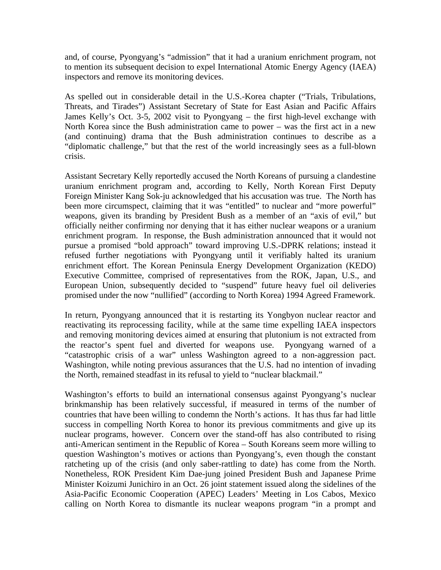and, of course, Pyongyang's "admission" that it had a uranium enrichment program, not to mention its subsequent decision to expel International Atomic Energy Agency (IAEA) inspectors and remove its monitoring devices.

As spelled out in considerable detail in the U.S.-Korea chapter ("Trials, Tribulations, Threats, and Tirades") Assistant Secretary of State for East Asian and Pacific Affairs James Kelly's Oct. 3-5, 2002 visit to Pyongyang – the first high-level exchange with North Korea since the Bush administration came to power – was the first act in a new (and continuing) drama that the Bush administration continues to describe as a "diplomatic challenge," but that the rest of the world increasingly sees as a full-blown crisis.

Assistant Secretary Kelly reportedly accused the North Koreans of pursuing a clandestine uranium enrichment program and, according to Kelly, North Korean First Deputy Foreign Minister Kang Sok-ju acknowledged that his accusation was true. The North has been more circumspect, claiming that it was "entitled" to nuclear and "more powerful" weapons, given its branding by President Bush as a member of an "axis of evil," but officially neither confirming nor denying that it has either nuclear weapons or a uranium enrichment program. In response, the Bush administration announced that it would not pursue a promised "bold approach" toward improving U.S.-DPRK relations; instead it refused further negotiations with Pyongyang until it verifiably halted its uranium enrichment effort. The Korean Peninsula Energy Development Organization (KEDO) Executive Committee, comprised of representatives from the ROK, Japan, U.S., and European Union, subsequently decided to "suspend" future heavy fuel oil deliveries promised under the now "nullified" (according to North Korea) 1994 Agreed Framework.

In return, Pyongyang announced that it is restarting its Yongbyon nuclear reactor and reactivating its reprocessing facility, while at the same time expelling IAEA inspectors and removing monitoring devices aimed at ensuring that plutonium is not extracted from the reactor's spent fuel and diverted for weapons use. Pyongyang warned of a "catastrophic crisis of a war" unless Washington agreed to a non-aggression pact. Washington, while noting previous assurances that the U.S. had no intention of invading the North, remained steadfast in its refusal to yield to "nuclear blackmail."

Washington's efforts to build an international consensus against Pyongyang's nuclear brinkmanship has been relatively successful, if measured in terms of the number of countries that have been willing to condemn the North's actions. It has thus far had little success in compelling North Korea to honor its previous commitments and give up its nuclear programs, however. Concern over the stand-off has also contributed to rising anti-American sentiment in the Republic of Korea – South Koreans seem more willing to question Washington's motives or actions than Pyongyang's, even though the constant ratcheting up of the crisis (and only saber-rattling to date) has come from the North. Nonetheless, ROK President Kim Dae-jung joined President Bush and Japanese Prime Minister Koizumi Junichiro in an Oct. 26 joint statement issued along the sidelines of the Asia-Pacific Economic Cooperation (APEC) Leaders' Meeting in Los Cabos, Mexico calling on North Korea to dismantle its nuclear weapons program "in a prompt and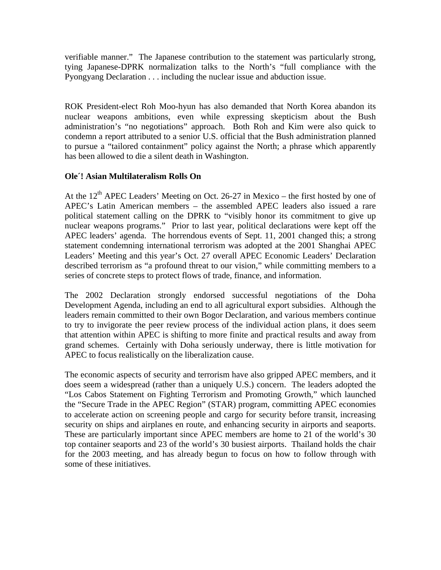verifiable manner." The Japanese contribution to the statement was particularly strong, tying Japanese-DPRK normalization talks to the North's "full compliance with the Pyongyang Declaration . . . including the nuclear issue and abduction issue.

ROK President-elect Roh Moo-hyun has also demanded that North Korea abandon its nuclear weapons ambitions, even while expressing skepticism about the Bush administration's "no negotiations" approach. Both Roh and Kim were also quick to condemn a report attributed to a senior U.S. official that the Bush administration planned to pursue a "tailored containment" policy against the North; a phrase which apparently has been allowed to die a silent death in Washington.

## **Ole´! Asian Multilateralism Rolls On**

At the  $12<sup>th</sup>$  APEC Leaders' Meeting on Oct. 26-27 in Mexico – the first hosted by one of APEC's Latin American members – the assembled APEC leaders also issued a rare political statement calling on the DPRK to "visibly honor its commitment to give up nuclear weapons programs." Prior to last year, political declarations were kept off the APEC leaders' agenda. The horrendous events of Sept. 11, 2001 changed this; a strong statement condemning international terrorism was adopted at the 2001 Shanghai APEC Leaders' Meeting and this year's Oct. 27 overall APEC Economic Leaders' Declaration described terrorism as "a profound threat to our vision," while committing members to a series of concrete steps to protect flows of trade, finance, and information.

The 2002 Declaration strongly endorsed successful negotiations of the Doha Development Agenda, including an end to all agricultural export subsidies. Although the leaders remain committed to their own Bogor Declaration, and various members continue to try to invigorate the peer review process of the individual action plans, it does seem that attention within APEC is shifting to more finite and practical results and away from grand schemes. Certainly with Doha seriously underway, there is little motivation for APEC to focus realistically on the liberalization cause.

The economic aspects of security and terrorism have also gripped APEC members, and it does seem a widespread (rather than a uniquely U.S.) concern. The leaders adopted the "Los Cabos Statement on Fighting Terrorism and Promoting Growth," which launched the "Secure Trade in the APEC Region" (STAR) program, committing APEC economies to accelerate action on screening people and cargo for security before transit, increasing security on ships and airplanes en route, and enhancing security in airports and seaports. These are particularly important since APEC members are home to 21 of the world's 30 top container seaports and 23 of the world's 30 busiest airports. Thailand holds the chair for the 2003 meeting, and has already begun to focus on how to follow through with some of these initiatives.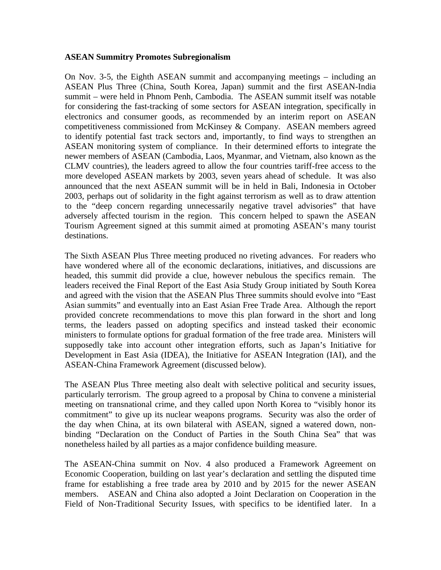#### **ASEAN Summitry Promotes Subregionalism**

On Nov. 3-5, the Eighth ASEAN summit and accompanying meetings – including an ASEAN Plus Three (China, South Korea, Japan) summit and the first ASEAN-India summit – were held in Phnom Penh, Cambodia. The ASEAN summit itself was notable for considering the fast-tracking of some sectors for ASEAN integration, specifically in electronics and consumer goods, as recommended by an interim report on ASEAN competitiveness commissioned from McKinsey & Company. ASEAN members agreed to identify potential fast track sectors and, importantly, to find ways to strengthen an ASEAN monitoring system of compliance. In their determined efforts to integrate the newer members of ASEAN (Cambodia, Laos, Myanmar, and Vietnam, also known as the CLMV countries), the leaders agreed to allow the four countries tariff-free access to the more developed ASEAN markets by 2003, seven years ahead of schedule. It was also announced that the next ASEAN summit will be in held in Bali, Indonesia in October 2003, perhaps out of solidarity in the fight against terrorism as well as to draw attention to the "deep concern regarding unnecessarily negative travel advisories" that have adversely affected tourism in the region. This concern helped to spawn the ASEAN Tourism Agreement signed at this summit aimed at promoting ASEAN's many tourist destinations.

The Sixth ASEAN Plus Three meeting produced no riveting advances. For readers who have wondered where all of the economic declarations, initiatives, and discussions are headed, this summit did provide a clue, however nebulous the specifics remain. The leaders received the Final Report of the East Asia Study Group initiated by South Korea and agreed with the vision that the ASEAN Plus Three summits should evolve into "East Asian summits" and eventually into an East Asian Free Trade Area. Although the report provided concrete recommendations to move this plan forward in the short and long terms, the leaders passed on adopting specifics and instead tasked their economic ministers to formulate options for gradual formation of the free trade area. Ministers will supposedly take into account other integration efforts, such as Japan's Initiative for Development in East Asia (IDEA), the Initiative for ASEAN Integration (IAI), and the ASEAN-China Framework Agreement (discussed below).

The ASEAN Plus Three meeting also dealt with selective political and security issues, particularly terrorism. The group agreed to a proposal by China to convene a ministerial meeting on transnational crime, and they called upon North Korea to "visibly honor its commitment" to give up its nuclear weapons programs. Security was also the order of the day when China, at its own bilateral with ASEAN, signed a watered down, nonbinding "Declaration on the Conduct of Parties in the South China Sea" that was nonetheless hailed by all parties as a major confidence building measure.

The ASEAN-China summit on Nov. 4 also produced a Framework Agreement on Economic Cooperation, building on last year's declaration and settling the disputed time frame for establishing a free trade area by 2010 and by 2015 for the newer ASEAN members. ASEAN and China also adopted a Joint Declaration on Cooperation in the Field of Non-Traditional Security Issues, with specifics to be identified later. In a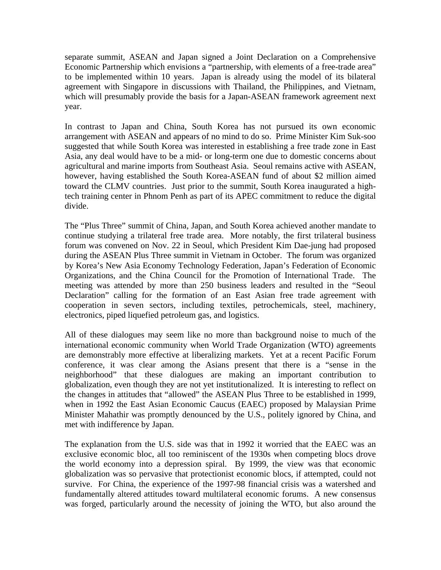separate summit, ASEAN and Japan signed a Joint Declaration on a Comprehensive Economic Partnership which envisions a "partnership, with elements of a free-trade area" to be implemented within 10 years. Japan is already using the model of its bilateral agreement with Singapore in discussions with Thailand, the Philippines, and Vietnam, which will presumably provide the basis for a Japan-ASEAN framework agreement next year.

In contrast to Japan and China, South Korea has not pursued its own economic arrangement with ASEAN and appears of no mind to do so. Prime Minister Kim Suk-soo suggested that while South Korea was interested in establishing a free trade zone in East Asia, any deal would have to be a mid- or long-term one due to domestic concerns about agricultural and marine imports from Southeast Asia. Seoul remains active with ASEAN, however, having established the South Korea-ASEAN fund of about \$2 million aimed toward the CLMV countries. Just prior to the summit, South Korea inaugurated a hightech training center in Phnom Penh as part of its APEC commitment to reduce the digital divide.

The "Plus Three" summit of China, Japan, and South Korea achieved another mandate to continue studying a trilateral free trade area. More notably, the first trilateral business forum was convened on Nov. 22 in Seoul, which President Kim Dae-jung had proposed during the ASEAN Plus Three summit in Vietnam in October. The forum was organized by Korea's New Asia Economy Technology Federation, Japan's Federation of Economic Organizations, and the China Council for the Promotion of International Trade. The meeting was attended by more than 250 business leaders and resulted in the "Seoul Declaration" calling for the formation of an East Asian free trade agreement with cooperation in seven sectors, including textiles, petrochemicals, steel, machinery, electronics, piped liquefied petroleum gas, and logistics.

All of these dialogues may seem like no more than background noise to much of the international economic community when World Trade Organization (WTO) agreements are demonstrably more effective at liberalizing markets. Yet at a recent Pacific Forum conference, it was clear among the Asians present that there is a "sense in the neighborhood" that these dialogues are making an important contribution to globalization, even though they are not yet institutionalized. It is interesting to reflect on the changes in attitudes that "allowed" the ASEAN Plus Three to be established in 1999, when in 1992 the East Asian Economic Caucus (EAEC) proposed by Malaysian Prime Minister Mahathir was promptly denounced by the U.S., politely ignored by China, and met with indifference by Japan.

The explanation from the U.S. side was that in 1992 it worried that the EAEC was an exclusive economic bloc, all too reminiscent of the 1930s when competing blocs drove the world economy into a depression spiral. By 1999, the view was that economic globalization was so pervasive that protectionist economic blocs, if attempted, could not survive. For China, the experience of the 1997-98 financial crisis was a watershed and fundamentally altered attitudes toward multilateral economic forums. A new consensus was forged, particularly around the necessity of joining the WTO, but also around the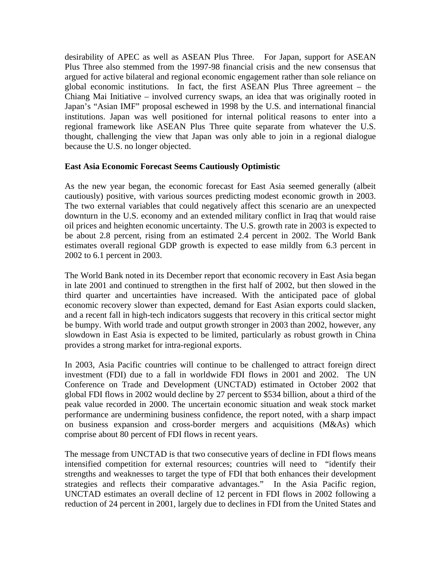desirability of APEC as well as ASEAN Plus Three. For Japan, support for ASEAN Plus Three also stemmed from the 1997-98 financial crisis and the new consensus that argued for active bilateral and regional economic engagement rather than sole reliance on global economic institutions. In fact, the first ASEAN Plus Three agreement – the Chiang Mai Initiative – involved currency swaps, an idea that was originally rooted in Japan's "Asian IMF" proposal eschewed in 1998 by the U.S. and international financial institutions. Japan was well positioned for internal political reasons to enter into a regional framework like ASEAN Plus Three quite separate from whatever the U.S. thought, challenging the view that Japan was only able to join in a regional dialogue because the U.S. no longer objected.

#### **East Asia Economic Forecast Seems Cautiously Optimistic**

As the new year began, the economic forecast for East Asia seemed generally (albeit cautiously) positive, with various sources predicting modest economic growth in 2003. The two external variables that could negatively affect this scenario are an unexpected downturn in the U.S. economy and an extended military conflict in Iraq that would raise oil prices and heighten economic uncertainty. The U.S. growth rate in 2003 is expected to be about 2.8 percent, rising from an estimated 2.4 percent in 2002. The World Bank estimates overall regional GDP growth is expected to ease mildly from 6.3 percent in 2002 to 6.1 percent in 2003.

The World Bank noted in its December report that economic recovery in East Asia began in late 2001 and continued to strengthen in the first half of 2002, but then slowed in the third quarter and uncertainties have increased. With the anticipated pace of global economic recovery slower than expected, demand for East Asian exports could slacken, and a recent fall in high-tech indicators suggests that recovery in this critical sector might be bumpy. With world trade and output growth stronger in 2003 than 2002, however, any slowdown in East Asia is expected to be limited, particularly as robust growth in China provides a strong market for intra-regional exports.

In 2003, Asia Pacific countries will continue to be challenged to attract foreign direct investment (FDI) due to a fall in worldwide FDI flows in 2001 and 2002. The UN Conference on Trade and Development (UNCTAD) estimated in October 2002 that global FDI flows in 2002 would decline by 27 percent to \$534 billion, about a third of the peak value recorded in 2000. The uncertain economic situation and weak stock market performance are undermining business confidence, the report noted, with a sharp impact on business expansion and cross-border mergers and acquisitions (M&As) which comprise about 80 percent of FDI flows in recent years.

The message from UNCTAD is that two consecutive years of decline in FDI flows means intensified competition for external resources; countries will need to "identify their strengths and weaknesses to target the type of FDI that both enhances their development strategies and reflects their comparative advantages." In the Asia Pacific region, UNCTAD estimates an overall decline of 12 percent in FDI flows in 2002 following a reduction of 24 percent in 2001, largely due to declines in FDI from the United States and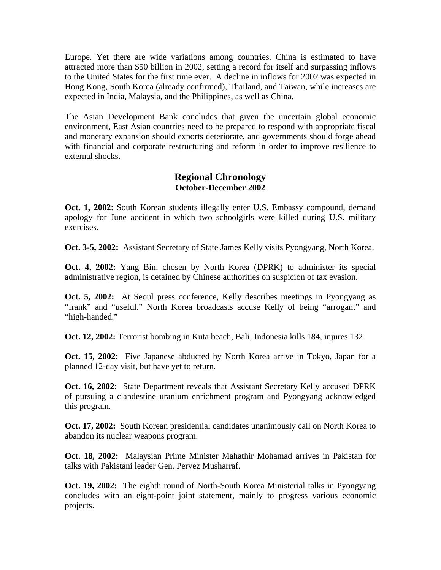Europe. Yet there are wide variations among countries. China is estimated to have attracted more than \$50 billion in 2002, setting a record for itself and surpassing inflows to the United States for the first time ever. A decline in inflows for 2002 was expected in Hong Kong, South Korea (already confirmed), Thailand, and Taiwan, while increases are expected in India, Malaysia, and the Philippines, as well as China.

The Asian Development Bank concludes that given the uncertain global economic environment, East Asian countries need to be prepared to respond with appropriate fiscal and monetary expansion should exports deteriorate, and governments should forge ahead with financial and corporate restructuring and reform in order to improve resilience to external shocks.

# **Regional Chronology October-December 2002**

**Oct. 1, 2002**: South Korean students illegally enter U.S. Embassy compound, demand apology for June accident in which two schoolgirls were killed during U.S. military exercises.

**Oct. 3-5, 2002:** Assistant Secretary of State James Kelly visits Pyongyang, North Korea.

**Oct. 4, 2002:** Yang Bin, chosen by North Korea (DPRK) to administer its special administrative region, is detained by Chinese authorities on suspicion of tax evasion.

**Oct. 5, 2002:** At Seoul press conference, Kelly describes meetings in Pyongyang as "frank" and "useful." North Korea broadcasts accuse Kelly of being "arrogant" and "high-handed."

**Oct. 12, 2002:** Terrorist bombing in Kuta beach, Bali, Indonesia kills 184, injures 132.

**Oct. 15, 2002:** Five Japanese abducted by North Korea arrive in Tokyo, Japan for a planned 12-day visit, but have yet to return.

**Oct. 16, 2002:** State Department reveals that Assistant Secretary Kelly accused DPRK of pursuing a clandestine uranium enrichment program and Pyongyang acknowledged this program.

**Oct. 17, 2002:** South Korean presidential candidates unanimously call on North Korea to abandon its nuclear weapons program.

**Oct. 18, 2002:** Malaysian Prime Minister Mahathir Mohamad arrives in Pakistan for talks with Pakistani leader Gen. Pervez Musharraf.

**Oct. 19, 2002:** The eighth round of North-South Korea Ministerial talks in Pyongyang concludes with an eight-point joint statement, mainly to progress various economic projects.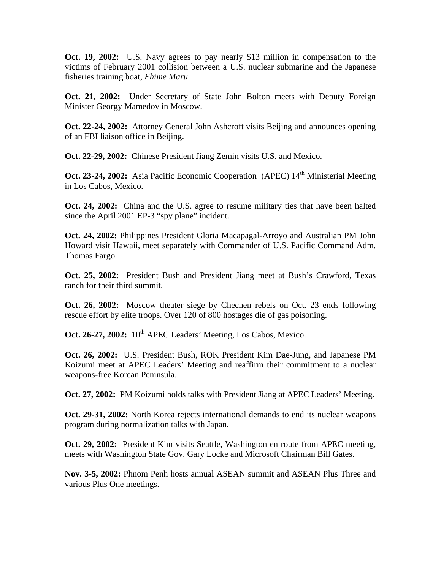**Oct. 19, 2002:** U.S. Navy agrees to pay nearly \$13 million in compensation to the victims of February 2001 collision between a U.S. nuclear submarine and the Japanese fisheries training boat, *Ehime Maru*.

**Oct. 21, 2002:** Under Secretary of State John Bolton meets with Deputy Foreign Minister Georgy Mamedov in Moscow.

**Oct. 22-24, 2002:** Attorney General John Ashcroft visits Beijing and announces opening of an FBI liaison office in Beijing.

**Oct. 22-29, 2002:** Chinese President Jiang Zemin visits U.S. and Mexico.

**Oct. 23-24, 2002:** Asia Pacific Economic Cooperation (APEC) 14<sup>th</sup> Ministerial Meeting in Los Cabos, Mexico.

**Oct. 24, 2002:** China and the U.S. agree to resume military ties that have been halted since the April 2001 EP-3 "spy plane" incident.

**Oct. 24, 2002:** Philippines President Gloria Macapagal-Arroyo and Australian PM John Howard visit Hawaii, meet separately with Commander of U.S. Pacific Command Adm. Thomas Fargo.

**Oct. 25, 2002:** President Bush and President Jiang meet at Bush's Crawford, Texas ranch for their third summit.

**Oct. 26, 2002:** Moscow theater siege by Chechen rebels on Oct. 23 ends following rescue effort by elite troops. Over 120 of 800 hostages die of gas poisoning.

Oct. 26-27, 2002: 10<sup>th</sup> APEC Leaders' Meeting, Los Cabos, Mexico.

**Oct. 26, 2002:** U.S. President Bush, ROK President Kim Dae-Jung, and Japanese PM Koizumi meet at APEC Leaders' Meeting and reaffirm their commitment to a nuclear weapons-free Korean Peninsula.

**Oct. 27, 2002:** PM Koizumi holds talks with President Jiang at APEC Leaders' Meeting.

**Oct. 29-31, 2002:** North Korea rejects international demands to end its nuclear weapons program during normalization talks with Japan.

**Oct. 29, 2002:** President Kim visits Seattle, Washington en route from APEC meeting, meets with Washington State Gov. Gary Locke and Microsoft Chairman Bill Gates.

**Nov. 3-5, 2002:** Phnom Penh hosts annual ASEAN summit and ASEAN Plus Three and various Plus One meetings.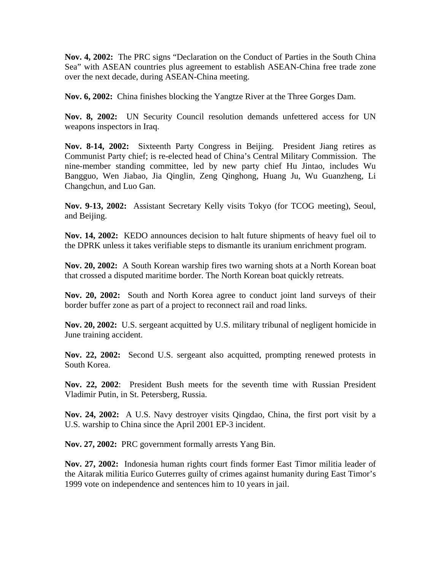**Nov. 4, 2002:** The PRC signs "Declaration on the Conduct of Parties in the South China Sea" with ASEAN countries plus agreement to establish ASEAN-China free trade zone over the next decade, during ASEAN-China meeting.

**Nov. 6, 2002:** China finishes blocking the Yangtze River at the Three Gorges Dam.

**Nov. 8, 2002:** UN Security Council resolution demands unfettered access for UN weapons inspectors in Iraq.

**Nov. 8-14, 2002:** Sixteenth Party Congress in Beijing. President Jiang retires as Communist Party chief; is re-elected head of China's Central Military Commission. The nine-member standing committee, led by new party chief Hu Jintao, includes Wu Bangguo, Wen Jiabao, Jia Qinglin, Zeng Qinghong, Huang Ju, Wu Guanzheng, Li Changchun, and Luo Gan.

**Nov. 9-13, 2002:** Assistant Secretary Kelly visits Tokyo (for TCOG meeting), Seoul, and Beijing.

**Nov. 14, 2002:** KEDO announces decision to halt future shipments of heavy fuel oil to the DPRK unless it takes verifiable steps to dismantle its uranium enrichment program.

**Nov. 20, 2002:** A South Korean warship fires two warning shots at a North Korean boat that crossed a disputed maritime border. The North Korean boat quickly retreats.

**Nov. 20, 2002:** South and North Korea agree to conduct joint land surveys of their border buffer zone as part of a project to reconnect rail and road links.

**Nov. 20, 2002:** U.S. sergeant acquitted by U.S. military tribunal of negligent homicide in June training accident.

**Nov. 22, 2002:** Second U.S. sergeant also acquitted, prompting renewed protests in South Korea.

**Nov. 22, 2002**: President Bush meets for the seventh time with Russian President Vladimir Putin, in St. Petersberg, Russia.

**Nov. 24, 2002:** A U.S. Navy destroyer visits Qingdao, China, the first port visit by a U.S. warship to China since the April 2001 EP-3 incident.

**Nov. 27, 2002:** PRC government formally arrests Yang Bin.

**Nov. 27, 2002:** Indonesia human rights court finds former East Timor militia leader of the Aitarak militia Eurico Guterres guilty of crimes against humanity during East Timor's 1999 vote on independence and sentences him to 10 years in jail.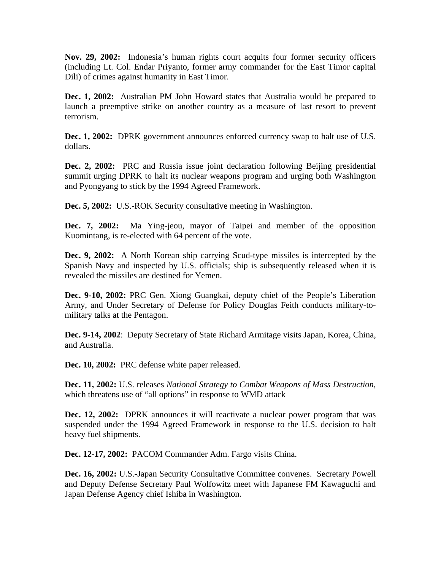**Nov. 29, 2002:** Indonesia's human rights court acquits four former security officers (including Lt. Col. Endar Priyanto, former army commander for the East Timor capital Dili) of crimes against humanity in East Timor.

**Dec. 1, 2002:** Australian PM John Howard states that Australia would be prepared to launch a preemptive strike on another country as a measure of last resort to prevent terrorism.

**Dec. 1, 2002:** DPRK government announces enforced currency swap to halt use of U.S. dollars.

**Dec. 2, 2002:** PRC and Russia issue joint declaration following Beijing presidential summit urging DPRK to halt its nuclear weapons program and urging both Washington and Pyongyang to stick by the 1994 Agreed Framework.

**Dec. 5, 2002:** U.S.-ROK Security consultative meeting in Washington.

**Dec. 7, 2002:** Ma Ying-jeou, mayor of Taipei and member of the opposition Kuomintang, is re-elected with 64 percent of the vote.

**Dec. 9, 2002:** A North Korean ship carrying Scud-type missiles is intercepted by the Spanish Navy and inspected by U.S. officials; ship is subsequently released when it is revealed the missiles are destined for Yemen.

**Dec. 9-10, 2002:** PRC Gen. Xiong Guangkai, deputy chief of the People's Liberation Army, and Under Secretary of Defense for Policy Douglas Feith conducts military-tomilitary talks at the Pentagon.

**Dec. 9-14, 2002**: Deputy Secretary of State Richard Armitage visits Japan, Korea, China, and Australia.

**Dec. 10, 2002:** PRC defense white paper released.

**Dec. 11, 2002:** U.S. releases *National Strategy to Combat Weapons of Mass Destruction*, which threatens use of "all options" in response to WMD attack

**Dec. 12, 2002:** DPRK announces it will reactivate a nuclear power program that was suspended under the 1994 Agreed Framework in response to the U.S. decision to halt heavy fuel shipments.

**Dec. 12-17, 2002:** PACOM Commander Adm. Fargo visits China.

**Dec. 16, 2002:** U.S.-Japan Security Consultative Committee convenes. Secretary Powell and Deputy Defense Secretary Paul Wolfowitz meet with Japanese FM Kawaguchi and Japan Defense Agency chief Ishiba in Washington.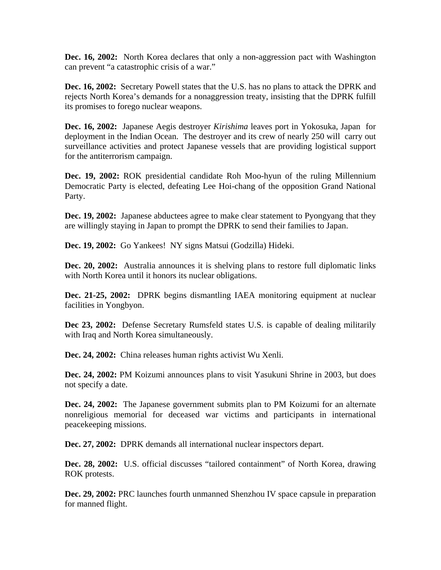**Dec. 16, 2002:** North Korea declares that only a non-aggression pact with Washington can prevent "a catastrophic crisis of a war."

**Dec. 16, 2002:** Secretary Powell states that the U.S. has no plans to attack the DPRK and rejects North Korea's demands for a nonaggression treaty, insisting that the DPRK fulfill its promises to forego nuclear weapons.

**Dec. 16, 2002:** Japanese Aegis destroyer *Kirishima* leaves port in Yokosuka, Japan for deployment in the Indian Ocean. The destroyer and its crew of nearly 250 will carry out surveillance activities and protect Japanese vessels that are providing logistical support for the antiterrorism campaign.

**Dec. 19, 2002:** ROK presidential candidate Roh Moo-hyun of the ruling Millennium Democratic Party is elected, defeating Lee Hoi-chang of the opposition Grand National Party.

**Dec. 19, 2002:** Japanese abductees agree to make clear statement to Pyongyang that they are willingly staying in Japan to prompt the DPRK to send their families to Japan.

**Dec. 19, 2002:** Go Yankees! NY signs Matsui (Godzilla) Hideki.

**Dec. 20, 2002:** Australia announces it is shelving plans to restore full diplomatic links with North Korea until it honors its nuclear obligations.

**Dec. 21-25, 2002:** DPRK begins dismantling IAEA monitoring equipment at nuclear facilities in Yongbyon.

**Dec 23, 2002:** Defense Secretary Rumsfeld states U.S. is capable of dealing militarily with Iraq and North Korea simultaneously.

**Dec. 24, 2002:** China releases human rights activist Wu Xenli.

**Dec. 24, 2002:** PM Koizumi announces plans to visit Yasukuni Shrine in 2003, but does not specify a date.

**Dec. 24, 2002:** The Japanese government submits plan to PM Koizumi for an alternate nonreligious memorial for deceased war victims and participants in international peacekeeping missions.

**Dec. 27, 2002:** DPRK demands all international nuclear inspectors depart.

**Dec. 28, 2002:** U.S. official discusses "tailored containment" of North Korea, drawing ROK protests.

**Dec. 29, 2002:** PRC launches fourth unmanned Shenzhou IV space capsule in preparation for manned flight.